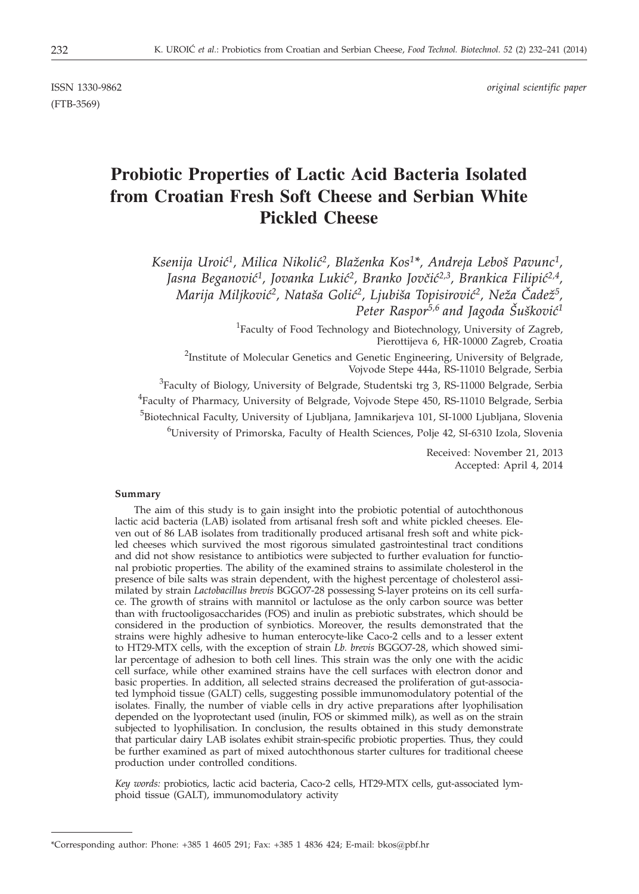(FTB-3569)

ISSN 1330-9862 *original scientific paper*

# **Probiotic Properties of Lactic Acid Bacteria Isolated from Croatian Fresh Soft Cheese and Serbian White Pickled Cheese**

Ksenija Uroić<sup>1</sup>, Milica Nikolić<sup>2</sup>, Blaženka Kos<sup>1\*</sup>, Andreja Leboš Pavunc<sup>1</sup>, Jasna Beganović<sup>1</sup>, Jovanka Lukić<sup>2</sup>, Branko Jovčić<sup>2,3</sup>, Brankica Filipić<sup>2,4</sup>, Marija Miljković<sup>2</sup>, Nataša Golić<sup>2</sup>, Ljubiša Topisirović<sup>2</sup>, Neža Čadež<sup>5</sup>, *Peter Raspor*<sup>5,6</sup> and Jagoda Šušković<sup>1</sup>

> <sup>1</sup>Faculty of Food Technology and Biotechnology, University of Zagreb, Pierottijeva 6, HR-10000 Zagreb, Croatia

<sup>2</sup>Institute of Molecular Genetics and Genetic Engineering, University of Belgrade, Vojvode Stepe 444a, RS-11010 Belgrade, Serbia

<sup>3</sup>Faculty of Biology, University of Belgrade, Studentski trg 3, RS-11000 Belgrade, Serbia <sup>4</sup>Faculty of Pharmacy, University of Belgrade, Vojvode Stepe 450, RS-11010 Belgrade, Serbia <sup>5</sup>Biotechnical Faculty, University of Ljubljana, Jamnikarjeva 101, SI-1000 Ljubljana, Slovenia 6 University of Primorska, Faculty of Health Sciences, Polje 42, SI-6310 Izola, Slovenia

> Received: November 21, 2013 Accepted: April 4, 2014

## **Summary**

The aim of this study is to gain insight into the probiotic potential of autochthonous lactic acid bacteria (LAB) isolated from artisanal fresh soft and white pickled cheeses. Eleven out of 86 LAB isolates from traditionally produced artisanal fresh soft and white pickled cheeses which survived the most rigorous simulated gastrointestinal tract conditions and did not show resistance to antibiotics were subjected to further evaluation for functional probiotic properties. The ability of the examined strains to assimilate cholesterol in the presence of bile salts was strain dependent, with the highest percentage of cholesterol assimilated by strain *Lactobacillus brevis* BGGO7-28 possessing S-layer proteins on its cell surface. The growth of strains with mannitol or lactulose as the only carbon source was better than with fructooligosaccharides (FOS) and inulin as prebiotic substrates, which should be considered in the production of synbiotics. Moreover, the results demonstrated that the strains were highly adhesive to human enterocyte-like Caco-2 cells and to a lesser extent to HT29-MTX cells, with the exception of strain *Lb. brevis* BGGO7-28, which showed similar percentage of adhesion to both cell lines. This strain was the only one with the acidic cell surface, while other examined strains have the cell surfaces with electron donor and basic properties. In addition, all selected strains decreased the proliferation of gut-associated lymphoid tissue (GALT) cells, suggesting possible immunomodulatory potential of the isolates. Finally, the number of viable cells in dry active preparations after lyophilisation depended on the lyoprotectant used (inulin, FOS or skimmed milk), as well as on the strain subjected to lyophilisation. In conclusion, the results obtained in this study demonstrate that particular dairy LAB isolates exhibit strain-specific probiotic properties. Thus, they could be further examined as part of mixed autochthonous starter cultures for traditional cheese production under controlled conditions.

*Key words:* probiotics, lactic acid bacteria, Caco-2 cells, HT29-MTX cells, gut-associated lymphoid tissue (GALT), immunomodulatory activity

<sup>\*</sup>Corresponding author: Phone: +385 1 4605 291; Fax: +385 1 4836 424; E-mail: bkos*@*pbf.hr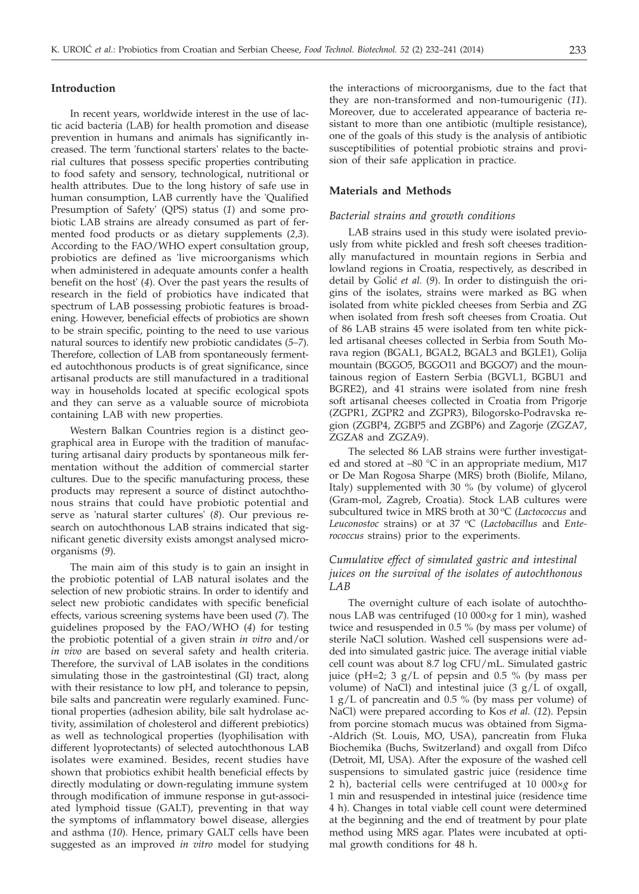### **Introduction**

In recent years, worldwide interest in the use of lactic acid bacteria (LAB) for health promotion and disease prevention in humans and animals has significantly increased. The term 'functional starters' relates to the bacterial cultures that possess specific properties contributing to food safety and sensory, technological, nutritional or health attributes. Due to the long history of safe use in human consumption, LAB currently have the 'Qualified Presumption of Safety' (QPS) status (*1*) and some probiotic LAB strains are already consumed as part of fermented food products or as dietary supplements (*2,3*). According to the FAO/WHO expert consultation group, probiotics are defined as 'live microorganisms which when administered in adequate amounts confer a health benefit on the host' (*4*). Over the past years the results of research in the field of probiotics have indicated that spectrum of LAB possessing probiotic features is broadening. However, beneficial effects of probiotics are shown to be strain specific, pointing to the need to use various natural sources to identify new probiotic candidates (*5–7*). Therefore, collection of LAB from spontaneously fermented autochthonous products is of great significance, since artisanal products are still manufactured in a traditional way in households located at specific ecological spots and they can serve as a valuable source of microbiota containing LAB with new properties.

Western Balkan Countries region is a distinct geographical area in Europe with the tradition of manufacturing artisanal dairy products by spontaneous milk fermentation without the addition of commercial starter cultures. Due to the specific manufacturing process, these products may represent a source of distinct autochthonous strains that could have probiotic potential and serve as 'natural starter cultures' (*8*). Our previous research on autochthonous LAB strains indicated that significant genetic diversity exists amongst analysed microorganisms (*9*).

The main aim of this study is to gain an insight in the probiotic potential of LAB natural isolates and the selection of new probiotic strains. In order to identify and select new probiotic candidates with specific beneficial effects, various screening systems have been used (*7*). The guidelines proposed by the FAO/WHO (*4*) for testing the probiotic potential of a given strain *in vitro* and/or *in vivo* are based on several safety and health criteria. Therefore, the survival of LAB isolates in the conditions simulating those in the gastrointestinal (GI) tract, along with their resistance to low pH, and tolerance to pepsin, bile salts and pancreatin were regularly examined. Functional properties (adhesion ability, bile salt hydrolase activity, assimilation of cholesterol and different prebiotics) as well as technological properties (lyophilisation with different lyoprotectants) of selected autochthonous LAB isolates were examined. Besides, recent studies have shown that probiotics exhibit health beneficial effects by directly modulating or down-regulating immune system through modification of immune response in gut-associated lymphoid tissue (GALT), preventing in that way the symptoms of inflammatory bowel disease, allergies and asthma (*10*). Hence, primary GALT cells have been suggested as an improved *in vitro* model for studying the interactions of microorganisms, due to the fact that they are non-transformed and non-tumourigenic (*11*). Moreover, due to accelerated appearance of bacteria resistant to more than one antibiotic (multiple resistance), one of the goals of this study is the analysis of antibiotic susceptibilities of potential probiotic strains and provision of their safe application in practice.

## **Materials and Methods**

#### *Bacterial strains and growth conditions*

LAB strains used in this study were isolated previously from white pickled and fresh soft cheeses traditionally manufactured in mountain regions in Serbia and lowland regions in Croatia, respectively, as described in detail by Golić et al. (9). In order to distinguish the origins of the isolates, strains were marked as BG when isolated from white pickled cheeses from Serbia and ZG when isolated from fresh soft cheeses from Croatia. Out of 86 LAB strains 45 were isolated from ten white pickled artisanal cheeses collected in Serbia from South Morava region (BGAL1, BGAL2, BGAL3 and BGLE1), Golija mountain (BGGO5, BGGO11 and BGGO7) and the mountainous region of Eastern Serbia (BGVL1, BGBU1 and BGRE2), and 41 strains were isolated from nine fresh soft artisanal cheeses collected in Croatia from Prigorje (ZGPR1, ZGPR2 and ZGPR3), Bilogorsko-Podravska region (ZGBP4, ZGBP5 and ZGBP6) and Zagorje (ZGZA7, ZGZA8 and ZGZA9).

The selected 86 LAB strains were further investigated and stored at  $-80$  °C in an appropriate medium, M17 or De Man Rogosa Sharpe (MRS) broth (Biolife, Milano, Italy) supplemented with 30 % (by volume) of glycerol (Gram-mol, Zagreb, Croatia). Stock LAB cultures were subcultured twice in MRS broth at 30 °C (Lactococcus and Leuconostoc strains) or at 37 °C (*Lactobacillus* and *Enterococcus* strains) prior to the experiments.

## *Cumulative effect of simulated gastric and intestinal juices on the survival of the isolates of autochthonous LAB*

The overnight culture of each isolate of autochthonous LAB was centrifuged (10 000×*g* for 1 min), washed twice and resuspended in 0.5 % (by mass per volume) of sterile NaCl solution. Washed cell suspensions were added into simulated gastric juice. The average initial viable cell count was about 8.7 log CFU/mL. Simulated gastric juice (pH=2;  $3 g/L$  of pepsin and 0.5 % (by mass per volume) of NaCl) and intestinal juice  $(3 g/L)$  of oxgall, 1 g/L of pancreatin and 0.5 % (by mass per volume) of NaCl) were prepared according to Kos *et al.* (*12*). Pepsin from porcine stomach mucus was obtained from Sigma- -Aldrich (St. Louis, MO, USA), pancreatin from Fluka Biochemika (Buchs, Switzerland) and oxgall from Difco (Detroit, MI, USA). After the exposure of the washed cell suspensions to simulated gastric juice (residence time 2 h), bacterial cells were centrifuged at 10 000×*g* for 1 min and resuspended in intestinal juice (residence time 4 h). Changes in total viable cell count were determined at the beginning and the end of treatment by pour plate method using MRS agar. Plates were incubated at optimal growth conditions for 48 h.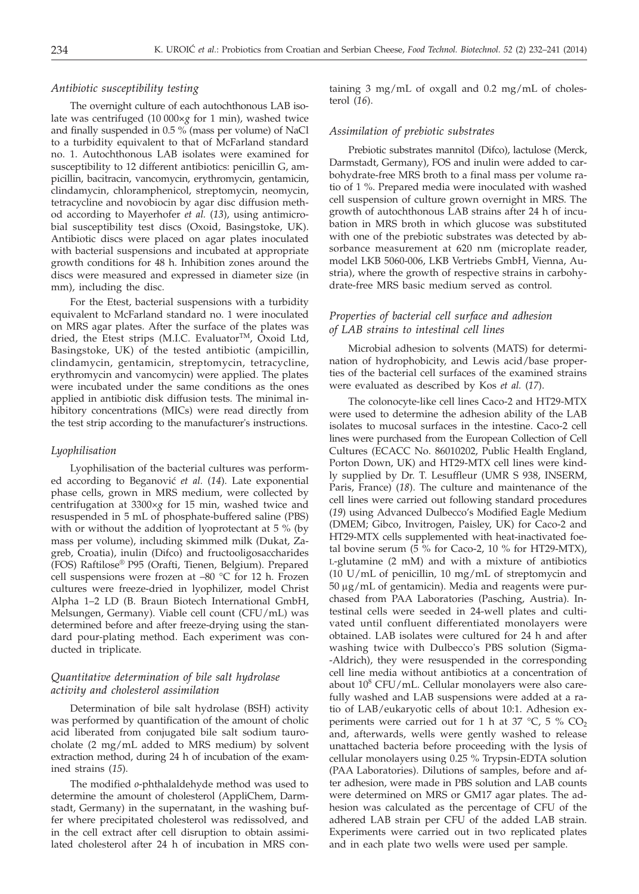## *Antibiotic susceptibility testing*

The overnight culture of each autochthonous LAB isolate was centrifuged (10 000*×g* for 1 min), washed twice and finally suspended in 0.5 % (mass per volume) of NaCl to a turbidity equivalent to that of McFarland standard no. 1. Autochthonous LAB isolates were examined for susceptibility to 12 different antibiotics: penicillin G, ampicillin, bacitracin, vancomycin, erythromycin, gentamicin, clindamycin, chloramphenicol, streptomycin, neomycin, tetracycline and novobiocin by agar disc diffusion method according to Mayerhofer *et al.* (*13*), using antimicrobial susceptibility test discs (Oxoid, Basingstoke, UK). Antibiotic discs were placed on agar plates inoculated with bacterial suspensions and incubated at appropriate growth conditions for 48 h. Inhibition zones around the discs were measured and expressed in diameter size (in mm), including the disc.

For the Etest, bacterial suspensions with a turbidity equivalent to McFarland standard no. 1 were inoculated on MRS agar plates. After the surface of the plates was dried, the Etest strips (M.I.C. Evaluator<sup>TM</sup>, Oxoid Ltd, Basingstoke, UK) of the tested antibiotic (ampicillin, clindamycin, gentamicin, streptomycin, tetracycline, erythromycin and vancomycin) were applied. The plates were incubated under the same conditions as the ones applied in antibiotic disk diffusion tests. The minimal inhibitory concentrations (MICs) were read directly from the test strip according to the manufacturer's instructions.

#### *Lyophilisation*

Lyophilisation of the bacterial cultures was performed according to Beganović et al. (14). Late exponential phase cells, grown in MRS medium, were collected by centrifugation at 3300×*g* for 15 min, washed twice and resuspended in 5 mL of phosphate-buffered saline (PBS) with or without the addition of lyoprotectant at 5 % (by mass per volume), including skimmed milk (Dukat, Zagreb, Croatia), inulin (Difco) and fructooligosaccharides (FOS) Raftilose® P95 (Orafti, Tienen, Belgium). Prepared cell suspensions were frozen at –80 °C for 12 h. Frozen cultures were freeze-dried in lyophilizer, model Christ Alpha 1–2 LD (B. Braun Biotech International GmbH, Melsungen, Germany). Viable cell count (CFU/mL) was determined before and after freeze-drying using the standard pour-plating method. Each experiment was conducted in triplicate.

## *Quantitative determination of bile salt hydrolase activity and cholesterol assimilation*

Determination of bile salt hydrolase (BSH) activity was performed by quantification of the amount of cholic acid liberated from conjugated bile salt sodium taurocholate (2 mg/mL added to MRS medium) by solvent extraction method, during 24 h of incubation of the examined strains (*15*).

The modified *o*-phthalaldehyde method was used to determine the amount of cholesterol (AppliChem, Darmstadt, Germany) in the supernatant, in the washing buffer where precipitated cholesterol was redissolved, and in the cell extract after cell disruption to obtain assimilated cholesterol after 24 h of incubation in MRS containing  $3 \text{ mg/mL}$  of oxgall and  $0.2 \text{ mg/mL}$  of cholesterol (*16*).

## *Assimilation of prebiotic substrates*

Prebiotic substrates mannitol (Difco), lactulose (Merck, Darmstadt, Germany), FOS and inulin were added to carbohydrate-free MRS broth to a final mass per volume ratio of 1 %. Prepared media were inoculated with washed cell suspension of culture grown overnight in MRS. The growth of autochthonous LAB strains after 24 h of incubation in MRS broth in which glucose was substituted with one of the prebiotic substrates was detected by absorbance measurement at 620 nm (microplate reader, model LKB 5060-006, LKB Vertriebs GmbH, Vienna, Austria), where the growth of respective strains in carbohydrate-free MRS basic medium served as control.

## *Properties of bacterial cell surface and adhesion of LAB strains to intestinal cell lines*

Microbial adhesion to solvents (MATS) for determination of hydrophobicity, and Lewis acid/base properties of the bacterial cell surfaces of the examined strains were evaluated as described by Kos *et al.* (*17*).

The colonocyte-like cell lines Caco-2 and HT29-MTX were used to determine the adhesion ability of the LAB isolates to mucosal surfaces in the intestine. Caco-2 cell lines were purchased from the European Collection of Cell Cultures (ECACC No. 86010202, Public Health England, Porton Down, UK) and HT29-MTX cell lines were kindly supplied by Dr. T. Lesuffleur (UMR S 938, INSERM, Paris, France) (*18*). The culture and maintenance of the cell lines were carried out following standard procedures (*19*) using Advanced Dulbecco's Modified Eagle Medium (DMEM; Gibco, Invitrogen, Paisley, UK) for Caco-2 and HT29-MTX cells supplemented with heat-inactivated foetal bovine serum  $(5\%$  for Caco-2, 10 % for HT29-MTX), L-glutamine (2 mM) and with a mixture of antibiotics (10 U/mL of penicillin, 10 mg/mL of streptomycin and  $50 \mu$ g/mL of gentamicin). Media and reagents were purchased from PAA Laboratories (Pasching, Austria). Intestinal cells were seeded in 24-well plates and cultivated until confluent differentiated monolayers were obtained. LAB isolates were cultured for 24 h and after washing twice with Dulbecco's PBS solution (Sigma- -Aldrich), they were resuspended in the corresponding cell line media without antibiotics at a concentration of about  $10^8$  CFU/mL. Cellular monolayers were also carefully washed and LAB suspensions were added at a ratio of LAB/eukaryotic cells of about 10:1. Adhesion experiments were carried out for 1 h at 37  $^{\circ}$ C, 5 % CO<sub>2</sub> and, afterwards, wells were gently washed to release unattached bacteria before proceeding with the lysis of cellular monolayers using 0.25 % Trypsin-EDTA solution (PAA Laboratories). Dilutions of samples, before and after adhesion, were made in PBS solution and LAB counts were determined on MRS or GM17 agar plates. The adhesion was calculated as the percentage of CFU of the adhered LAB strain per CFU of the added LAB strain. Experiments were carried out in two replicated plates and in each plate two wells were used per sample.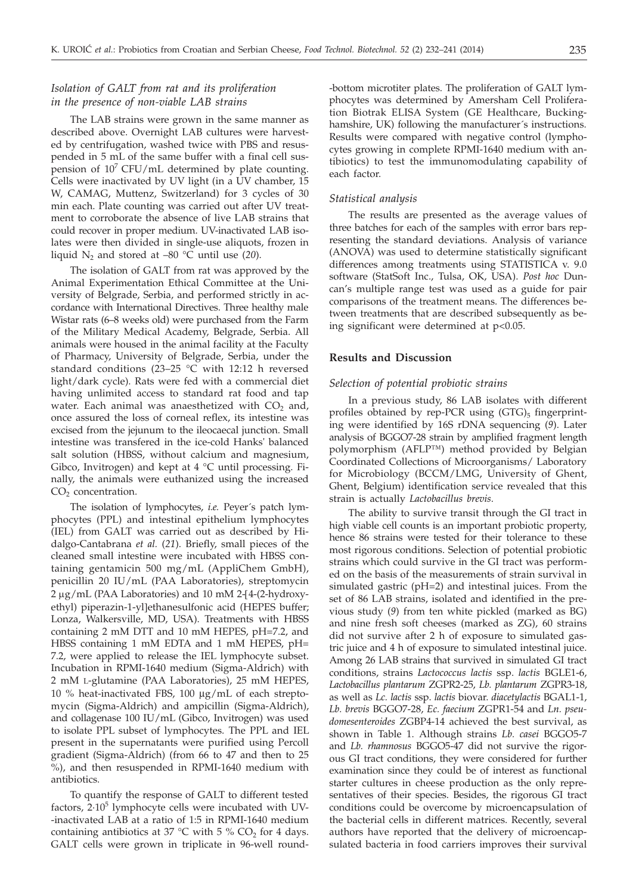# *Isolation of GALT from rat and its proliferation in the presence of non-viable LAB strains*

The LAB strains were grown in the same manner as described above. Overnight LAB cultures were harvested by centrifugation, washed twice with PBS and resuspended in 5 mL of the same buffer with a final cell suspension of  $10^7$  CFU/mL determined by plate counting. Cells were inactivated by UV light (in a UV chamber, 15 W, CAMAG, Muttenz, Switzerland) for 3 cycles of 30 min each. Plate counting was carried out after UV treatment to corroborate the absence of live LAB strains that could recover in proper medium. UV-inactivated LAB isolates were then divided in single-use aliquots, frozen in liquid N2 and stored at –80 °C until use (*20*).

The isolation of GALT from rat was approved by the Animal Experimentation Ethical Committee at the University of Belgrade, Serbia, and performed strictly in accordance with International Directives. Three healthy male Wistar rats (6–8 weeks old) were purchased from the Farm of the Military Medical Academy, Belgrade, Serbia. All animals were housed in the animal facility at the Faculty of Pharmacy, University of Belgrade, Serbia, under the standard conditions (23–25 °C with 12:12 h reversed light/dark cycle). Rats were fed with a commercial diet having unlimited access to standard rat food and tap water. Each animal was anaesthetized with  $CO<sub>2</sub>$  and, once assured the loss of corneal reflex, its intestine was excised from the jejunum to the ileocaecal junction. Small intestine was transfered in the ice-cold Hanks' balanced salt solution (HBSS, without calcium and magnesium, Gibco, Invitrogen) and kept at  $4 °C$  until processing. Finally, the animals were euthanized using the increased  $CO<sub>2</sub>$  concentration.

The isolation of lymphocytes, *i.e.* Peyer´s patch lymphocytes (PPL) and intestinal epithelium lymphocytes (IEL) from GALT was carried out as described by Hidalgo-Cantabrana *et al.* (*21*). Briefly, small pieces of the cleaned small intestine were incubated with HBSS containing gentamicin 500 mg/mL (AppliChem GmbH), penicillin 20 IU/mL (PAA Laboratories), streptomycin 2 µg/mL (PAA Laboratories) and 10 mM 2-[4-(2-hydroxyethyl) piperazin-1-yl]ethanesulfonic acid (HEPES buffer; Lonza, Walkersville, MD, USA). Treatments with HBSS containing 2 mM DTT and 10 mM HEPES, pH=7.2, and HBSS containing 1 mM EDTA and 1 mM HEPES, pH= 7.2, were applied to release the IEL lymphocyte subset. Incubation in RPMI-1640 medium (Sigma-Aldrich) with 2 mM L-glutamine (PAA Laboratories), 25 mM HEPES, 10 % heat-inactivated FBS, 100 µg/mL of each streptomycin (Sigma-Aldrich) and ampicillin (Sigma-Aldrich), and collagenase 100 IU/mL (Gibco, Invitrogen) was used to isolate PPL subset of lymphocytes. The PPL and IEL present in the supernatants were purified using Percoll gradient (Sigma-Aldrich) (from 66 to 47 and then to 25 %), and then resuspended in RPMI-1640 medium with antibiotics.

To quantify the response of GALT to different tested factors,  $2.10<sup>5</sup>$  lymphocyte cells were incubated with UV--inactivated LAB at a ratio of 1:5 in RPMI-1640 medium containing antibiotics at 37 °C with 5 %  $CO<sub>2</sub>$  for 4 days. GALT cells were grown in triplicate in 96-well round-bottom microtiter plates. The proliferation of GALT lymphocytes was determined by Amersham Cell Proliferation Biotrak ELISA System (GE Healthcare, Buckinghamshire, UK) following the manufacturer´s instructions. Results were compared with negative control (lymphocytes growing in complete RPMI-1640 medium with antibiotics) to test the immunomodulating capability of each factor.

## *Statistical analysis*

The results are presented as the average values of three batches for each of the samples with error bars representing the standard deviations. Analysis of variance (ANOVA) was used to determine statistically significant differences among treatments using STATISTICA v. 9.0 software (StatSoft Inc., Tulsa, OK, USA). *Post hoc* Duncan's multiple range test was used as a guide for pair comparisons of the treatment means. The differences between treatments that are described subsequently as being significant were determined at p<0.05.

## **Results and Discussion**

### *Selection of potential probiotic strains*

In a previous study, 86 LAB isolates with different profiles obtained by rep-PCR using  $(GTG)_5$  fingerprinting were identified by 16S rDNA sequencing (*9*). Later analysis of BGGO7-28 strain by amplified fragment length polymorphism (AFLP™) method provided by Belgian Coordinated Collections of Microorganisms/ Laboratory for Microbiology (BCCM/LMG, University of Ghent, Ghent, Belgium) identification service revealed that this strain is actually *Lactobacillus brevis*.

The ability to survive transit through the GI tract in high viable cell counts is an important probiotic property, hence 86 strains were tested for their tolerance to these most rigorous conditions. Selection of potential probiotic strains which could survive in the GI tract was performed on the basis of the measurements of strain survival in simulated gastric (pH=2) and intestinal juices. From the set of 86 LAB strains, isolated and identified in the previous study (*9*) from ten white pickled (marked as BG) and nine fresh soft cheeses (marked as ZG), 60 strains did not survive after 2 h of exposure to simulated gastric juice and 4 h of exposure to simulated intestinal juice. Among 26 LAB strains that survived in simulated GI tract conditions, strains *Lactococcus lactis* ssp. *lactis* BGLE1-6, *Lactobacillus plantarum* ZGPR2-25, *Lb. plantarum* ZGPR3-18, as well as *Lc. lactis* ssp. *lactis* biovar. *diacetylactis* BGAL1-1, *Lb. brevis* BGGO7-28, *Ec. faecium* ZGPR1-54 and *Ln. pseudomesenteroides* ZGBP4-14 achieved the best survival, as shown in Table 1. Although strains *Lb. casei* BGGO5-7 and *Lb. rhamnosus* BGGO5-47 did not survive the rigorous GI tract conditions, they were considered for further examination since they could be of interest as functional starter cultures in cheese production as the only representatives of their species. Besides, the rigorous GI tract conditions could be overcome by microencapsulation of the bacterial cells in different matrices. Recently, several authors have reported that the delivery of microencapsulated bacteria in food carriers improves their survival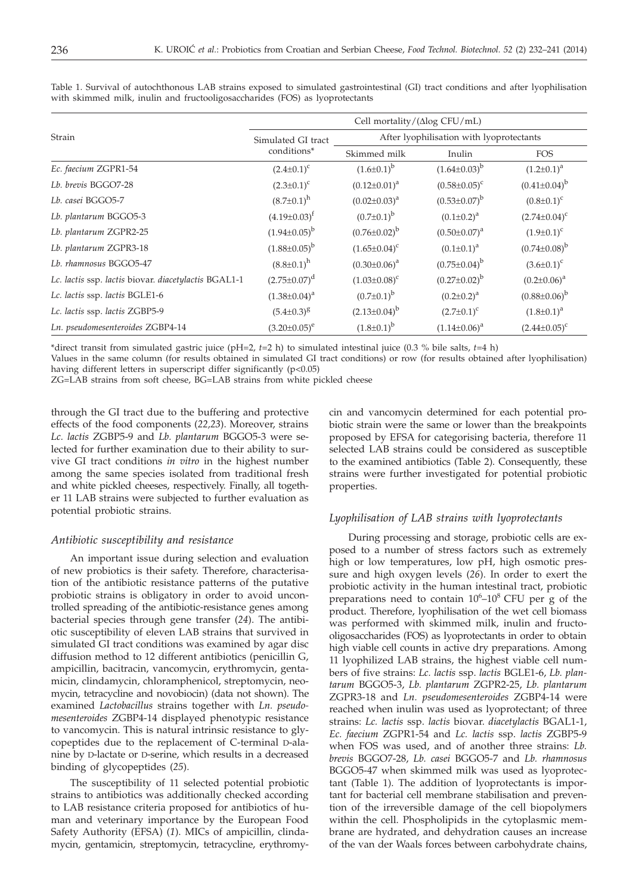|                                                      | Cell mortality/ $(\Delta$ log CFU/mL) |                                          |                       |                       |  |  |
|------------------------------------------------------|---------------------------------------|------------------------------------------|-----------------------|-----------------------|--|--|
| Strain                                               | Simulated GI tract                    | After lyophilisation with lyoprotectants |                       |                       |  |  |
|                                                      | conditions*                           | Skimmed milk                             | Inulin                | <b>FOS</b>            |  |  |
| Ec. faecium ZGPR1-54                                 | $(2.4 \pm 0.1)^c$                     | $(1.6 \pm 0.1)^{b}$                      | $(1.64 \pm 0.03)^b$   | $(1.2 \pm 0.1)^a$     |  |  |
| Lb. brevis BGGO7-28                                  | $(2.3 \pm 0.1)^c$                     | $(0.12 \pm 0.01)^a$                      | $(0.58 \pm 0.05)^c$   | $(0.41 \pm 0.04)^{b}$ |  |  |
| Lb. casei BGGO5-7                                    | $(8.7 \pm 0.1)^h$                     | $(0.02 \pm 0.03)^a$                      | $(0.53 \pm 0.07)^b$   | $(0.8 \pm 0.1)^c$     |  |  |
| Lb. plantarum BGGO5-3                                | $(4.19 \pm 0.03)^t$                   | $(0.7 \pm 0.1)^b$                        | $(0.1 \pm 0.2)^a$     | $(2.74 \pm 0.04)^c$   |  |  |
| Lb. plantarum ZGPR2-25                               | $(1.94\pm0.05)^{b}$                   | $(0.76 \pm 0.02)^{b}$                    | $(0.50 \pm 0.07)^a$   | $(1.9 \pm 0.1)^c$     |  |  |
| Lb. plantarum ZGPR3-18                               | $(1.88\pm0.05)^{b}$                   | $(1.65 \pm 0.04)^c$                      | $(0.1 \pm 0.1)^a$     | $(0.74 \pm 0.08)^{b}$ |  |  |
| Lb. rhamnosus BGGO5-47                               | $(8.8 \pm 0.1)^h$                     | $(0.30 \pm 0.06)^a$                      | $(0.75 \pm 0.04)^b$   | $(3.6 \pm 0.1)^c$     |  |  |
| Lc. lactis ssp. lactis biovar. diacetylactis BGAL1-1 | $(2.75 \pm 0.07)^d$                   | $(1.03 \pm 0.08)^c$                      | $(0.27 \pm 0.02)^{b}$ | $(0.2 \pm 0.06)^a$    |  |  |
| Lc. lactis ssp. lactis BGLE1-6                       | $(1.38 \pm 0.04)^a$                   | $(0.7 \pm 0.1)^b$                        | $(0.2 \pm 0.2)^a$     | $(0.88 \pm 0.06)^b$   |  |  |
| Lc. lactis ssp. lactis ZGBP5-9                       | $(5.4 \pm 0.3)^8$                     | $(2.13\pm0.04)^b$                        | $(2.7 \pm 0.1)^c$     | $(1.8 \pm 0.1)^a$     |  |  |
| Ln. pseudomesenteroides ZGBP4-14                     | $(3.20 \pm 0.05)^e$                   | $(1.8\pm0.1)^b$                          | $(1.14\pm0.06)^a$     | $(2.44\pm0.05)^c$     |  |  |

Table 1. Survival of autochthonous LAB strains exposed to simulated gastrointestinal (GI) tract conditions and after lyophilisation with skimmed milk, inulin and fructooligosaccharides (FOS) as lyoprotectants

\*direct transit from simulated gastric juice (pH=2, *t*=2 h) to simulated intestinal juice (0.3 % bile salts, *t*=4 h)

Values in the same column (for results obtained in simulated GI tract conditions) or row (for results obtained after lyophilisation) having different letters in superscript differ significantly (p<0.05)

ZG=LAB strains from soft cheese, BG=LAB strains from white pickled cheese

through the GI tract due to the buffering and protective effects of the food components (*22,23*). Moreover, strains *Lc. lactis* ZGBP5-9 and *Lb. plantarum* BGGO5-3 were selected for further examination due to their ability to survive GI tract conditions *in vitro* in the highest number among the same species isolated from traditional fresh and white pickled cheeses, respectively. Finally, all together 11 LAB strains were subjected to further evaluation as potential probiotic strains.

## *Antibiotic susceptibility and resistance*

An important issue during selection and evaluation of new probiotics is their safety. Therefore, characterisation of the antibiotic resistance patterns of the putative probiotic strains is obligatory in order to avoid uncontrolled spreading of the antibiotic-resistance genes among bacterial species through gene transfer (*24*). The antibiotic susceptibility of eleven LAB strains that survived in simulated GI tract conditions was examined by agar disc diffusion method to 12 different antibiotics (penicillin G, ampicillin, bacitracin, vancomycin, erythromycin, gentamicin, clindamycin, chloramphenicol, streptomycin, neomycin, tetracycline and novobiocin) (data not shown). The examined *Lactobacillus* strains together with *Ln. pseudomesenteroides* ZGBP4-14 displayed phenotypic resistance to vancomycin. This is natural intrinsic resistance to glycopeptides due to the replacement of C-terminal D-alanine by D-lactate or D-serine, which results in a decreased binding of glycopeptides (*25*).

The susceptibility of 11 selected potential probiotic strains to antibiotics was additionally checked according to LAB resistance criteria proposed for antibiotics of human and veterinary importance by the European Food Safety Authority (EFSA) (*1*). MICs of ampicillin, clindamycin, gentamicin, streptomycin, tetracycline, erythromy-

cin and vancomycin determined for each potential probiotic strain were the same or lower than the breakpoints proposed by EFSA for categorising bacteria, therefore 11 selected LAB strains could be considered as susceptible to the examined antibiotics (Table 2). Consequently, these strains were further investigated for potential probiotic properties.

## *Lyophilisation of LAB strains with lyoprotectants*

During processing and storage, probiotic cells are exposed to a number of stress factors such as extremely high or low temperatures, low pH, high osmotic pressure and high oxygen levels (*26*). In order to exert the probiotic activity in the human intestinal tract, probiotic preparations need to contain  $10^6$ – $10^8$  CFU per g of the product. Therefore, lyophilisation of the wet cell biomass was performed with skimmed milk, inulin and fructooligosaccharides (FOS) as lyoprotectants in order to obtain high viable cell counts in active dry preparations. Among 11 lyophilized LAB strains, the highest viable cell numbers of five strains: *Lc. lactis* ssp. *lactis* BGLE1-6, *Lb. plantarum* BGGO5-3, *Lb. plantarum* ZGPR2-25, *Lb. plantarum* ZGPR3-18 and *Ln. pseudomesenteroides* ZGBP4-14 were reached when inulin was used as lyoprotectant; of three strains: *Lc. lactis* ssp. *lactis* biovar. *diacetylactis* BGAL1-1, *Ec. faecium* ZGPR1-54 and *Lc. lactis* ssp. *lactis* ZGBP5-9 when FOS was used, and of another three strains: *Lb. brevis* BGGO7-28, *Lb. casei* BGGO5-7 and *Lb. rhamnosus* BGGO5-47 when skimmed milk was used as lyoprotectant (Table 1). The addition of lyoprotectants is important for bacterial cell membrane stabilisation and prevention of the irreversible damage of the cell biopolymers within the cell. Phospholipids in the cytoplasmic membrane are hydrated, and dehydration causes an increase of the van der Waals forces between carbohydrate chains,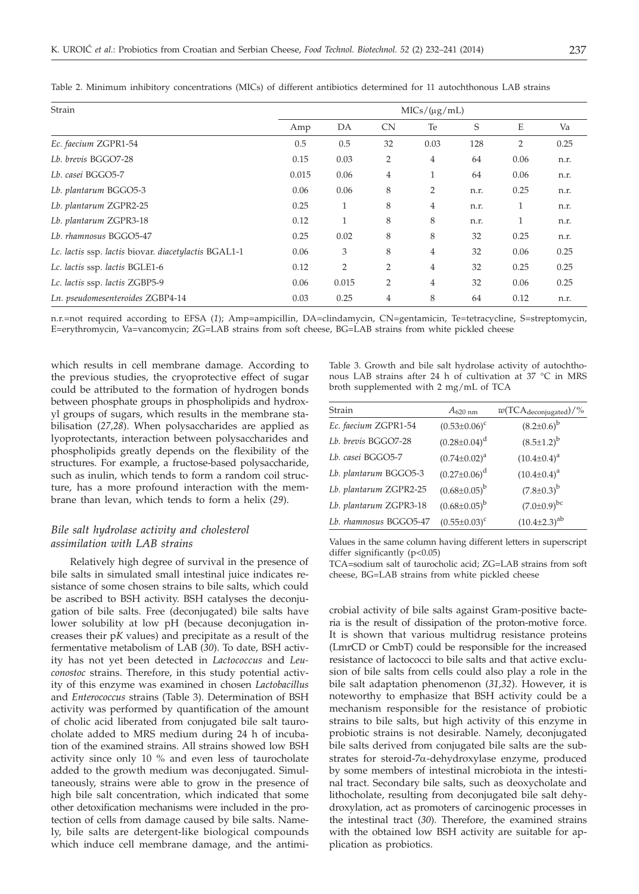| Strain                                               | $MICs/(\mu g/mL)$ |                |                |                |      |      |      |
|------------------------------------------------------|-------------------|----------------|----------------|----------------|------|------|------|
|                                                      | Amp               | DA             | <b>CN</b>      | Te             | S    | E    | Va   |
| Ec. faecium ZGPR1-54                                 | 0.5               | 0.5            | 32             | 0.03           | 128  | 2    | 0.25 |
| Lb. brevis BGGO7-28                                  | 0.15              | 0.03           | 2              | $\overline{4}$ | 64   | 0.06 | n.r. |
| Lb. casei BGGO5-7                                    | 0.015             | 0.06           | 4              | 1              | 64   | 0.06 | n.r. |
| Lb. plantarum BGGO5-3                                | 0.06              | 0.06           | 8              | 2              | n.r. | 0.25 | n.r. |
| Lb. plantarum ZGPR2-25                               | 0.25              | 1              | 8              | 4              | n.r. | 1    | n.r. |
| Lb. plantarum ZGPR3-18                               | 0.12              |                | 8              | 8              | n.r. | 1    | n.r. |
| Lb. rhamnosus BGGO5-47                               | 0.25              | 0.02           | 8              | 8              | 32   | 0.25 | n.r. |
| Lc. lactis ssp. lactis biovar. diacetylactis BGAL1-1 | 0.06              | 3              | 8              | $\overline{4}$ | 32   | 0.06 | 0.25 |
| Lc. lactis ssp. lactis BGLE1-6                       | 0.12              | $\overline{2}$ | $\overline{2}$ | $\overline{4}$ | 32   | 0.25 | 0.25 |
| Lc. lactis ssp. lactis ZGBP5-9                       | 0.06              | 0.015          | 2              | $\overline{4}$ | 32   | 0.06 | 0.25 |
| Ln. pseudomesenteroides ZGBP4-14                     | 0.03              | 0.25           | 4              | 8              | 64   | 0.12 | n.r. |

Table 2. Minimum inhibitory concentrations (MICs) of different antibiotics determined for 11 autochthonous LAB strains

n.r.=not required according to EFSA (*1*); Amp=ampicillin, DA=clindamycin, CN=gentamicin, Te=tetracycline, S=streptomycin, E=erythromycin, Va=vancomycin; ZG=LAB strains from soft cheese, BG=LAB strains from white pickled cheese

which results in cell membrane damage. According to the previous studies, the cryoprotective effect of sugar could be attributed to the formation of hydrogen bonds between phosphate groups in phospholipids and hydroxyl groups of sugars, which results in the membrane stabilisation (*27,28*). When polysaccharides are applied as lyoprotectants, interaction between polysaccharides and phospholipids greatly depends on the flexibility of the structures. For example, a fructose-based polysaccharide, such as inulin, which tends to form a random coil structure, has a more profound interaction with the membrane than levan, which tends to form a helix (*29*).

## *Bile salt hydrolase activity and cholesterol assimilation with LAB strains*

Relatively high degree of survival in the presence of bile salts in simulated small intestinal juice indicates resistance of some chosen strains to bile salts, which could be ascribed to BSH activity. BSH catalyses the deconjugation of bile salts. Free (deconjugated) bile salts have lower solubility at low pH (because deconjugation increases their p*K* values) and precipitate as a result of the fermentative metabolism of LAB (*30*). To date, BSH activity has not yet been detected in *Lactococcus* and *Leuconostoc* strains. Therefore, in this study potential activity of this enzyme was examined in chosen *Lactobacillus* and *Enterococcus* strains (Table 3). Determination of BSH activity was performed by quantification of the amount of cholic acid liberated from conjugated bile salt taurocholate added to MRS medium during 24 h of incubation of the examined strains. All strains showed low BSH activity since only 10 % and even less of taurocholate added to the growth medium was deconjugated. Simultaneously, strains were able to grow in the presence of high bile salt concentration, which indicated that some other detoxification mechanisms were included in the protection of cells from damage caused by bile salts. Namely, bile salts are detergent-like biological compounds which induce cell membrane damage, and the antimiTable 3. Growth and bile salt hydrolase activity of autochthonous LAB strains after 24 h of cultivation at 37 °C in MRS broth supplemented with 2 mg/mL of TCA

| Strain                 | $A_{620 \text{ nm}}$  | $w(TCA_{deconjugated})/\%$ |
|------------------------|-----------------------|----------------------------|
| Ec. faecium ZGPR1-54   | $(0.53 \pm 0.06)^c$   | $(8.2 \pm 0.6)^{b}$        |
| Lb. brevis BGGO7-28    | $(0.28 \pm 0.04)^d$   | $(8.5 \pm 1.2)^{b}$        |
| Lb. casei BGGO5-7      | $(0.74 \pm 0.02)^a$   | $(10.4 \pm 0.4)^a$         |
| Lb. plantarum BGGO5-3  | $(0.27 \pm 0.06)^d$   | $(10.4 \pm 0.4)^a$         |
| Lb. plantarum ZGPR2-25 | $(0.68 \pm 0.05)^{b}$ | $(7.8 \pm 0.3)^{b}$        |
| Lb. plantarum ZGPR3-18 | $(0.68 \pm 0.05)^{b}$ | $(7.0 \pm 0.9)^{bc}$       |
| Lb. rhamnosus BGGO5-47 | $(0.55 \pm 0.03)^c$   | $(10.4 \pm 2.3)^{ab}$      |

Values in the same column having different letters in superscript differ significantly (p<0.05)

TCA=sodium salt of taurocholic acid; ZG=LAB strains from soft cheese, BG=LAB strains from white pickled cheese

crobial activity of bile salts against Gram-positive bacteria is the result of dissipation of the proton-motive force. It is shown that various multidrug resistance proteins (LmrCD or CmbT) could be responsible for the increased resistance of lactococci to bile salts and that active exclusion of bile salts from cells could also play a role in the bile salt adaptation phenomenon (*31,32*). However, it is noteworthy to emphasize that BSH activity could be a mechanism responsible for the resistance of probiotic strains to bile salts, but high activity of this enzyme in probiotic strains is not desirable. Namely, deconjugated bile salts derived from conjugated bile salts are the substrates for steroid-7a-dehydroxylase enzyme, produced by some members of intestinal microbiota in the intestinal tract. Secondary bile salts, such as deoxycholate and lithocholate, resulting from deconjugated bile salt dehydroxylation, act as promoters of carcinogenic processes in the intestinal tract (*30*). Therefore, the examined strains with the obtained low BSH activity are suitable for application as probiotics.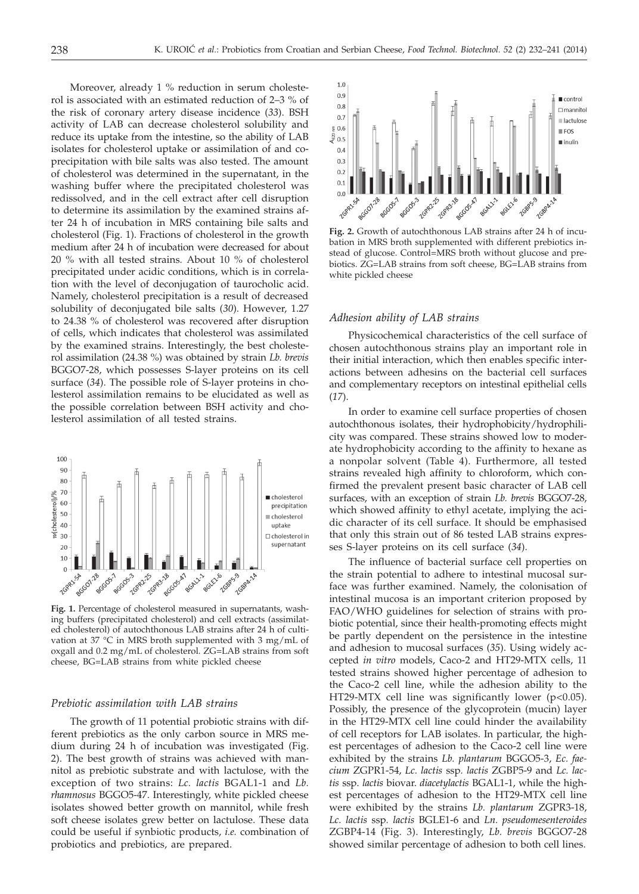Moreover, already 1 % reduction in serum cholesterol is associated with an estimated reduction of 2–3 % of the risk of coronary artery disease incidence (*33*). BSH activity of LAB can decrease cholesterol solubility and reduce its uptake from the intestine, so the ability of LAB isolates for cholesterol uptake or assimilation of and coprecipitation with bile salts was also tested. The amount of cholesterol was determined in the supernatant, in the washing buffer where the precipitated cholesterol was redissolved, and in the cell extract after cell disruption to determine its assimilation by the examined strains after 24 h of incubation in MRS containing bile salts and cholesterol (Fig. 1). Fractions of cholesterol in the growth medium after 24 h of incubation were decreased for about 20 % with all tested strains. About 10 % of cholesterol precipitated under acidic conditions, which is in correlation with the level of deconjugation of taurocholic acid. Namely, cholesterol precipitation is a result of decreased solubility of deconjugated bile salts (*30*). However, 1.27 to 24.38 % of cholesterol was recovered after disruption of cells, which indicates that cholesterol was assimilated by the examined strains. Interestingly, the best cholesterol assimilation (24.38 %) was obtained by strain *Lb. brevis* BGGO7-28, which possesses S-layer proteins on its cell surface (*34*). The possible role of S-layer proteins in cholesterol assimilation remains to be elucidated as well as the possible correlation between BSH activity and cholesterol assimilation of all tested strains.



**Fig. 1.** Percentage of cholesterol measured in supernatants, washing buffers (precipitated cholesterol) and cell extracts (assimilated cholesterol) of autochthonous LAB strains after 24 h of cultivation at 37 °C in MRS broth supplemented with 3 mg/mL of oxgall and 0.2 mg/mL of cholesterol. ZG=LAB strains from soft cheese, BG=LAB strains from white pickled cheese

## *Prebiotic assimilation with LAB strains*

The growth of 11 potential probiotic strains with different prebiotics as the only carbon source in MRS medium during 24 h of incubation was investigated (Fig. 2). The best growth of strains was achieved with mannitol as prebiotic substrate and with lactulose, with the exception of two strains: *Lc. lactis* BGAL1-1 and *Lb. rhamnosus* BGGO5-47. Interestingly, white pickled cheese isolates showed better growth on mannitol, while fresh soft cheese isolates grew better on lactulose. These data could be useful if synbiotic products, *i.e.* combination of probiotics and prebiotics, are prepared.



**Fig. 2.** Growth of autochthonous LAB strains after 24 h of incubation in MRS broth supplemented with different prebiotics instead of glucose. Control=MRS broth without glucose and prebiotics. ZG=LAB strains from soft cheese, BG=LAB strains from white pickled cheese

#### *Adhesion ability of LAB strains*

Physicochemical characteristics of the cell surface of chosen autochthonous strains play an important role in their initial interaction, which then enables specific interactions between adhesins on the bacterial cell surfaces and complementary receptors on intestinal epithelial cells (*17*).

In order to examine cell surface properties of chosen autochthonous isolates, their hydrophobicity/hydrophilicity was compared. These strains showed low to moderate hydrophobicity according to the affinity to hexane as a nonpolar solvent (Table 4). Furthermore, all tested strains revealed high affinity to chloroform, which confirmed the prevalent present basic character of LAB cell surfaces, with an exception of strain *Lb. brevis* BGGO7-28, which showed affinity to ethyl acetate, implying the acidic character of its cell surface. It should be emphasised that only this strain out of 86 tested LAB strains expresses S-layer proteins on its cell surface (*34*).

The influence of bacterial surface cell properties on the strain potential to adhere to intestinal mucosal surface was further examined. Namely, the colonisation of intestinal mucosa is an important criterion proposed by FAO/WHO guidelines for selection of strains with probiotic potential, since their health-promoting effects might be partly dependent on the persistence in the intestine and adhesion to mucosal surfaces (*35*). Using widely accepted *in vitro* models, Caco-2 and HT29-MTX cells, 11 tested strains showed higher percentage of adhesion to the Caco-2 cell line, while the adhesion ability to the HT29-MTX cell line was significantly lower (p<0.05). Possibly, the presence of the glycoprotein (mucin) layer in the HT29-MTX cell line could hinder the availability of cell receptors for LAB isolates. In particular, the highest percentages of adhesion to the Caco-2 cell line were exhibited by the strains *Lb. plantarum* BGGO5-3, *Ec. faecium* ZGPR1-54, *Lc. lactis* ssp*. lactis* ZGBP5-9 and *Lc. lactis* ssp. *lactis* biovar. *diacetylactis* BGAL1-1, while the highest percentages of adhesion to the HT29-MTX cell line were exhibited by the strains *Lb. plantarum* ZGPR3-18, *Lc. lactis* ssp*. lactis* BGLE1-6 and *Ln. pseudomesenteroides* ZGBP4-14 (Fig. 3). Interestingly, *Lb. brevis* BGGO7-28 showed similar percentage of adhesion to both cell lines.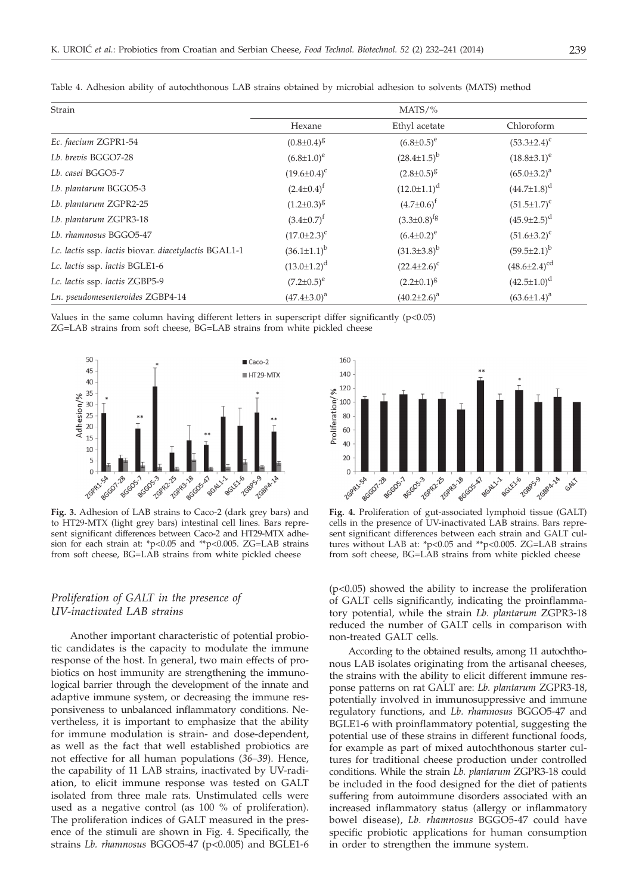| Strain                                               | $MATS/\%$            |                      |                       |  |
|------------------------------------------------------|----------------------|----------------------|-----------------------|--|
|                                                      | Hexane               | Ethyl acetate        | Chloroform            |  |
| Ec. faecium ZGPR1-54                                 | $(0.8 \pm 0.4)^8$    | $(6.8 \pm 0.5)^e$    | $(53.3 \pm 2.4)^c$    |  |
| Lb. brevis BGGO7-28                                  | $(6.8{\pm}1.0)^e$    | $(28.4 \pm 1.5)^{b}$ | $(18.8 \pm 3.1)^e$    |  |
| Lb. casei BGGO5-7                                    | $(19.6 \pm 0.4)^c$   | $(2.8 \pm 0.5)^8$    | $(65.0 \pm 3.2)^a$    |  |
| Lb. plantarum BGGO5-3                                | $(2.4 \pm 0.4)^f$    | $(12.0 \pm 1.1)^d$   | $(44.7 \pm 1.8)^d$    |  |
| Lb. plantarum ZGPR2-25                               | $(1.2 \pm 0.3)^8$    | $(4.7 \pm 0.6)^f$    | $(51.5 \pm 1.7)^c$    |  |
| Lb. plantarum ZGPR3-18                               | $(3.4 \pm 0.7)^f$    | $(3.3 \pm 0.8)^{fg}$ | $(45.9 \pm 2.5)^d$    |  |
| Lb. rhamnosus BGGO5-47                               | $(17.0 \pm 2.3)^c$   | $(6.4 \pm 0.2)^e$    | $(51.6 \pm 3.2)^c$    |  |
| Lc. lactis ssp. lactis biovar. diacetylactis BGAL1-1 | $(36.1 \pm 1.1)^{b}$ | $(31.3\pm3.8)^{b}$   | $(59.5 \pm 2.1)^b$    |  |
| Lc. lactis ssp. lactis BGLE1-6                       | $(13.0 \pm 1.2)^d$   | $(22.4 \pm 2.6)^c$   | $(48.6 \pm 2.4)^{cd}$ |  |
| Lc. lactis ssp. lactis ZGBP5-9                       | $(7.2 \pm 0.5)^e$    | $(2.2 \pm 0.1)^8$    | $(42.5 \pm 1.0)^d$    |  |
| Ln. pseudomesenteroides ZGBP4-14                     | $(47.4 \pm 3.0)^a$   | $(40.2 \pm 2.6)^a$   | $(63.6 \pm 1.4)^a$    |  |

Table 4. Adhesion ability of autochthonous LAB strains obtained by microbial adhesion to solvents (MATS) method

Values in the same column having different letters in superscript differ significantly  $(p<0.05)$ ZG=LAB strains from soft cheese, BG=LAB strains from white pickled cheese



**Fig. 3.** Adhesion of LAB strains to Caco-2 (dark grey bars) and to HT29-MTX (light grey bars) intestinal cell lines. Bars represent significant differences between Caco-2 and HT29-MTX adhesion for each strain at: \*p<0.05 and \*\*p<0.005. ZG=LAB strains from soft cheese, BG=LAB strains from white pickled cheese

## *Proliferation of GALT in the presence of UV-inactivated LAB strains*

Another important characteristic of potential probiotic candidates is the capacity to modulate the immune response of the host. In general, two main effects of probiotics on host immunity are strengthening the immunological barrier through the development of the innate and adaptive immune system, or decreasing the immune responsiveness to unbalanced inflammatory conditions. Nevertheless, it is important to emphasize that the ability for immune modulation is strain- and dose-dependent, as well as the fact that well established probiotics are not effective for all human populations (*36–39*). Hence, the capability of 11 LAB strains, inactivated by UV-radiation, to elicit immune response was tested on GALT isolated from three male rats. Unstimulated cells were used as a negative control (as 100 % of proliferation). The proliferation indices of GALT measured in the presence of the stimuli are shown in Fig. 4. Specifically, the strains *Lb. rhamnosus* BGGO5-47 (p<0.005) and BGLE1-6



**Fig. 4.** Proliferation of gut-associated lymphoid tissue (GALT) cells in the presence of UV-inactivated LAB strains. Bars represent significant differences between each strain and GALT cultures without LAB at: \*p<0.05 and \*\*p<0.005. ZG=LAB strains from soft cheese, BG=LAB strains from white pickled cheese

(p<0.05) showed the ability to increase the proliferation of GALT cells significantly, indicating the proinflammatory potential, while the strain *Lb. plantarum* ZGPR3-18 reduced the number of GALT cells in comparison with non-treated GALT cells.

According to the obtained results, among 11 autochthonous LAB isolates originating from the artisanal cheeses, the strains with the ability to elicit different immune response patterns on rat GALT are: *Lb. plantarum* ZGPR3-18, potentially involved in immunosuppressive and immune regulatory functions, and *Lb. rhamnosus* BGGO5-47 and BGLE1-6 with proinflammatory potential, suggesting the potential use of these strains in different functional foods, for example as part of mixed autochthonous starter cultures for traditional cheese production under controlled conditions. While the strain *Lb. plantarum* ZGPR3-18 could be included in the food designed for the diet of patients suffering from autoimmune disorders associated with an increased inflammatory status (allergy or inflammatory bowel disease), *Lb. rhamnosus* BGGO5-47 could have specific probiotic applications for human consumption in order to strengthen the immune system.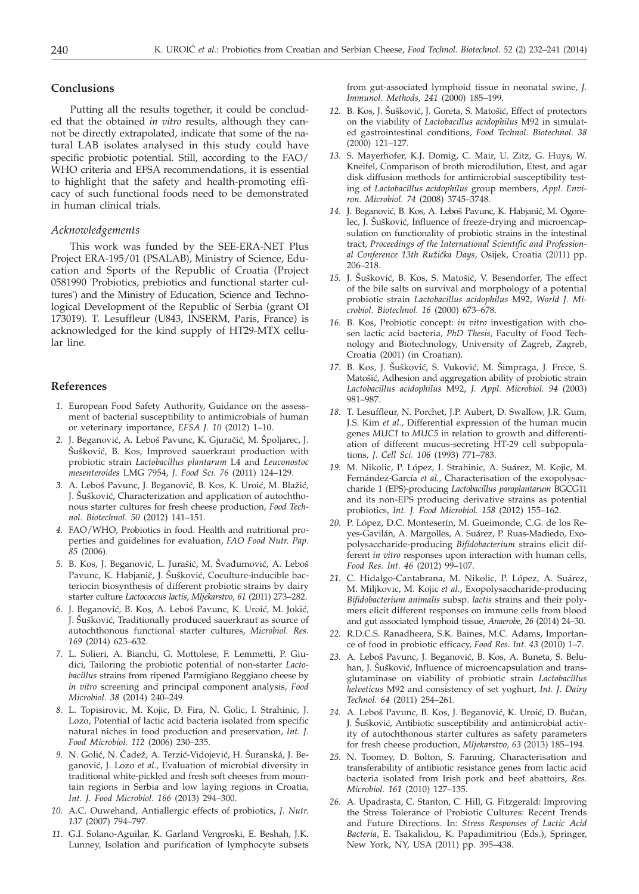### **Conclusions**

Putting all the results together, it could be concluded that the obtained *in vitro* results, although they cannot be directly extrapolated, indicate that some of the natural LAB isolates analysed in this study could have specific probiotic potential. Still, according to the FAO/ WHO criteria and EFSA recommendations, it is essential to highlight that the safety and health-promoting efficacy of such functional foods need to be demonstrated in human clinical trials.

## *Acknowledgements*

This work was funded by the SEE-ERA-NET Plus Project ERA-195/01 (PSALAB), Ministry of Science, Education and Sports of the Republic of Croatia (Project 0581990 'Probiotics, prebiotics and functional starter cultures') and the Ministry of Education, Science and Technological Development of the Republic of Serbia (grant OI 173019). T. Lesuffleur (U843, INSERM, Paris, France) is acknowledged for the kind supply of HT29-MTX cellular line.

#### **References**

- *1.* European Food Safety Authority, Guidance on the assessment of bacterial susceptibility to antimicrobials of human or veterinary importance, *EFSA J. 10* (2012) 1–10.
- 2. J. Beganović, A. Leboš Pavunc, K. Gjuračić, M. Špoljarec, J. Šušković, B. Kos, Improved sauerkraut production with probiotic strain *Lactobacillus plantarum* L4 and *Leuconostoc mesenteroides* LMG 7954, *J. Food Sci. 76* (2011) 124–129.
- 3. A. Leboš Pavunc, J. Beganović, B. Kos, K. Uroić, M. Blažić, J. Sušković, Characterization and application of autochthonous starter cultures for fresh cheese production, *Food Technol. Biotechnol. 50* (2012) 141–151.
- *4.* FAO/WHO, Probiotics in food. Health and nutritional properties and guidelines for evaluation, *FAO Food Nutr. Pap. 85* (2006).
- 5. B. Kos, J. Beganović, L. Jurašić, M. Švađumović, A. Leboš Pavunc, K. Habjanič, J. Šušković, Coculture-inducible bacteriocin biosynthesis of different probiotic strains by dairy starter culture *Lactococcus lactis*, *Mljekarstvo, 61* (2011) 273–282.
- 6. J. Beganović, B. Kos, A. Leboš Pavunc, K. Uroić, M. Jokić, J. Šušković, Traditionally produced sauerkraut as source of autochthonous functional starter cultures, *Microbiol. Res. 169* (2014) 623–632.
- *7.* L. Solieri, A. Bianchi, G. Mottolese, F. Lemmetti, P. Giudici, Tailoring the probiotic potential of non-starter *Lactobacillus* strains from ripened Parmigiano Reggiano cheese by *in vitro* screening and principal component analysis, *Food Microbiol. 38* (2014) 240–249.
- *8.* L. Topisirovic, M. Kojic, D. Fira, N. Golic, I. Strahinic, J. Lozo, Potential of lactic acid bacteria isolated from specific natural niches in food production and preservation, *Int. J. Food Microbiol. 112* (2006) 230–235.
- 9. N. Golić, N. Čadež, A. Terzić-Vidojević, H. Šuranská, J. Beganović, J. Lozo et al., Evaluation of microbial diversity in traditional white-pickled and fresh soft cheeses from mountain regions in Serbia and low laying regions in Croatia, *Int. J. Food Microbiol. 166* (2013) 294–300.
- *10.* A.C. Ouwehand, Antiallergic effects of probiotics, *J. Nutr. 137* (2007) 794–797.
- *11.* G.I. Solano-Aguilar, K. Garland Vengroski, E. Beshah, J.K. Lunney, Isolation and purification of lymphocyte subsets

from gut-associated lymphoid tissue in neonatal swine, *J. Immunol. Methods, 241* (2000) 185–199.

- 12. B. Kos, J. Šušković, J. Goreta, S. Matošić, Effect of protectors on the viability of *Lactobacillus acidophilus* M92 in simulated gastrointestinal conditions, *Food Technol. Biotechnol. 38* (2000) 121–127.
- *13.* S. Mayerhofer, K.J. Domig, C. Mair, U. Zitz, G. Huys, W. Kneifel, Comparison of broth microdilution, Etest, and agar disk diffusion methods for antimicrobial susceptibility testing of *Lactobacillus acidophilus* group members, *Appl. Environ. Microbiol. 74* (2008) 3745–3748.
- 14. J. Beganović, B. Kos, A. Leboš Pavunc, K. Habjanič, M. Ogorelec, J. Šušković, Influence of freeze-drying and microencapsulation on functionality of probiotic strains in the intestinal tract, *Proceedings of the International Scientific and Professional Conference 13th Ru`i~ka Days*, Osijek, Croatia (2011) pp. 206–218.
- 15. J. Šušković, B. Kos, S. Matošić, V. Besendorfer, The effect of the bile salts on survival and morphology of a potential probiotic strain *Lactobacillus acidophilus* M92, *World J. Microbiol. Biotechnol. 16* (2000) 673–678.
- *16.* B. Kos, Probiotic concept: *in vitro* investigation with chosen lactic acid bacteria, *PhD Thesis,* Faculty of Food Technology and Biotechnology, University of Zagreb, Zagreb, Croatia (2001) (in Croatian).
- 17. B. Kos, J. Šušković, S. Vuković, M. Šimpraga, J. Frece, S. Matošić, Adhesion and aggregation ability of probiotic strain *Lactobacillus acidophilus* M92, *J. Appl. Microbiol. 94* (2003) 981–987.
- *18.* T. Lesuffleur, N. Porchet, J.P. Aubert, D. Swallow, J.R. Gum, J.S. Kim *et al.*, Differential expression of the human mucin genes *MUC1* to *MUC5* in relation to growth and differentiation of different mucus-secreting HT-29 cell subpopulations, *J. Cell Sci. 106* (1993) 771–783.
- *19.* M. Nikolic, P. López, I. Strahinic, A. Suárez, M. Kojic, M. Fernández-García *et al.*, Characterisation of the exopolysaccharide 1 (EPS)-producing *Lactobacillus paraplantarum* BGCG11 and its non-EPS producing derivative strains as potential probiotics, *Int. J. Food Microbiol. 158* (2012) 155–162.
- *20.* P. López, D.C. Monteserín, M. Gueimonde, C.G. de los Reyes-Gavilán, A. Margolles, A. Suárez, P. Ruas-Madiedo, Exopolysaccharide-producing *Bifidobacterium* strains elicit different *in vitro* responses upon interaction with human cells, *Food Res. Int. 46* (2012) 99–107.
- *21.* C. Hidalgo-Cantabrana, M. Nikolic, P. López, A. Suárez, M. Miljkovic, M. Kojic *et al.*, Exopolysaccharide-producing *Bifidobacterium animalis* subsp. *lactis* strains and their polymers elicit different responses on immune cells from blood and gut associated lymphoid tissue, *Anaerobe*, *26* (2014) 24–30.
- *22.* R.D.C.S. Ranadheera, S.K. Baines, M.C. Adams, Importance of food in probiotic efficacy, *Food Res. Int. 43* (2010) 1–7.
- 23. A. Leboš Pavunc, J. Beganović, B. Kos, A. Buneta, S. Beluhan, J. Šušković, Influence of microencapsulation and transglutaminase on viability of probiotic strain *Lactobacillus helveticus* M92 and consistency of set yoghurt, *Int. J. Dairy Technol. 64* (2011) 254–261.
- 24. A. Leboš Pavunc, B. Kos, J. Beganović, K. Uroić, D. Bučan, J. Šušković, Antibiotic susceptibility and antimicrobial activity of autochthonous starter cultures as safety parameters for fresh cheese production, *Mljekarstvo, 63* (2013) 185–194.
- *25.* N. Toomey, D. Bolton, S. Fanning, Characterisation and transferability of antibiotic resistance genes from lactic acid bacteria isolated from Irish pork and beef abattoirs, *Res. Microbiol. 161* (2010) 127–135.
- *26.* A. Upadrasta, C. Stanton, C. Hill, G. Fitzgerald: Improving the Stress Tolerance of Probiotic Cultures: Recent Trends and Future Directions. In: *Stress Responses of Lactic Acid Bacteria*, E. Tsakalidou, K. Papadimitriou (Eds.), Springer, New York, NY, USA (2011) pp. 395–438.